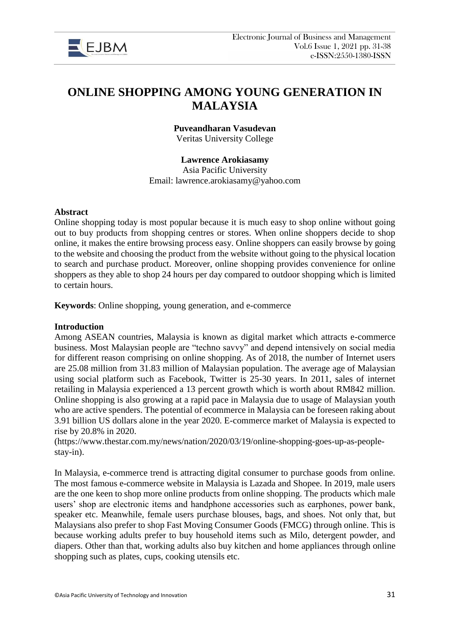

# **ONLINE SHOPPING AMONG YOUNG GENERATION IN MALAYSIA**

**Puveandharan Vasudevan** Veritas University College

### **Lawrence Arokiasamy**

Asia Pacific University Email: lawrence.arokiasamy@yahoo.com

### **Abstract**

Online shopping today is most popular because it is much easy to shop online without going out to buy products from shopping centres or stores. When online shoppers decide to shop online, it makes the entire browsing process easy. Online shoppers can easily browse by going to the website and choosing the product from the website without going to the physical location to search and purchase product. Moreover, online shopping provides convenience for online shoppers as they able to shop 24 hours per day compared to outdoor shopping which is limited to certain hours.

**Keywords**: Online shopping, young generation, and e-commerce

## **Introduction**

Among ASEAN countries, Malaysia is known as digital market which attracts e-commerce business. Most Malaysian people are "techno savvy" and depend intensively on social media for different reason comprising on online shopping. As of 2018, the number of Internet users are 25.08 million from 31.83 million of Malaysian population. The average age of Malaysian using social platform such as Facebook, Twitter is 25-30 years. In 2011, sales of internet retailing in Malaysia experienced a 13 percent growth which is worth about RM842 million. Online shopping is also growing at a rapid pace in Malaysia due to usage of Malaysian youth who are active spenders. The potential of ecommerce in Malaysia can be foreseen raking about 3.91 billion US dollars alone in the year 2020. E-commerce market of Malaysia is expected to rise by 20.8% in 2020.

(https://www.thestar.com.my/news/nation/2020/03/19/online-shopping-goes-up-as-peoplestay-in).

In Malaysia, e-commerce trend is attracting digital consumer to purchase goods from online. The most famous e-commerce website in Malaysia is Lazada and Shopee. In 2019, male users are the one keen to shop more online products from online shopping. The products which male users' shop are electronic items and handphone accessories such as earphones, power bank, speaker etc. Meanwhile, female users purchase blouses, bags, and shoes. Not only that, but Malaysians also prefer to shop Fast Moving Consumer Goods (FMCG) through online. This is because working adults prefer to buy household items such as Milo, detergent powder, and diapers. Other than that, working adults also buy kitchen and home appliances through online shopping such as plates, cups, cooking utensils etc.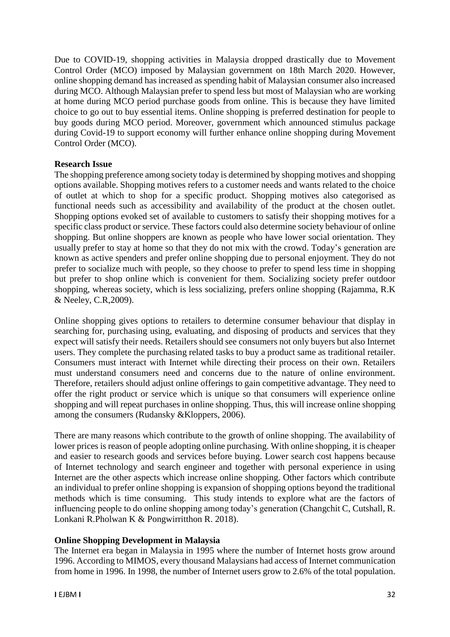Due to COVID-19, shopping activities in Malaysia dropped drastically due to Movement Control Order (MCO) imposed by Malaysian government on 18th March 2020. However, online shopping demand has increased as spending habit of Malaysian consumer also increased during MCO. Although Malaysian prefer to spend less but most of Malaysian who are working at home during MCO period purchase goods from online. This is because they have limited choice to go out to buy essential items. Online shopping is preferred destination for people to buy goods during MCO period. Moreover, government which announced stimulus package during Covid-19 to support economy will further enhance online shopping during Movement Control Order (MCO).

# **Research Issue**

The shopping preference among society today is determined by shopping motives and shopping options available. Shopping motives refers to a customer needs and wants related to the choice of outlet at which to shop for a specific product. Shopping motives also categorised as functional needs such as accessibility and availability of the product at the chosen outlet. Shopping options evoked set of available to customers to satisfy their shopping motives for a specific class product or service. These factors could also determine society behaviour of online shopping. But online shoppers are known as people who have lower social orientation. They usually prefer to stay at home so that they do not mix with the crowd. Today's generation are known as active spenders and prefer online shopping due to personal enjoyment. They do not prefer to socialize much with people, so they choose to prefer to spend less time in shopping but prefer to shop online which is convenient for them. Socializing society prefer outdoor shopping, whereas society, which is less socializing, prefers online shopping (Rajamma, R.K & Neeley, C.R,2009).

Online shopping gives options to retailers to determine consumer behaviour that display in searching for, purchasing using, evaluating, and disposing of products and services that they expect will satisfy their needs. Retailers should see consumers not only buyers but also Internet users. They complete the purchasing related tasks to buy a product same as traditional retailer. Consumers must interact with Internet while directing their process on their own. Retailers must understand consumers need and concerns due to the nature of online environment. Therefore, retailers should adjust online offerings to gain competitive advantage. They need to offer the right product or service which is unique so that consumers will experience online shopping and will repeat purchases in online shopping. Thus, this will increase online shopping among the consumers (Rudansky &Kloppers, 2006).

There are many reasons which contribute to the growth of online shopping. The availability of lower prices is reason of people adopting online purchasing. With online shopping, it is cheaper and easier to research goods and services before buying. Lower search cost happens because of Internet technology and search engineer and together with personal experience in using Internet are the other aspects which increase online shopping. Other factors which contribute an individual to prefer online shopping is expansion of shopping options beyond the traditional methods which is time consuming. This study intends to explore what are the factors of influencing people to do online shopping among today's generation (Changchit C, Cutshall, R. Lonkani R.Pholwan K & Pongwirritthon R. 2018).

# **Online Shopping Development in Malaysia**

The Internet era began in Malaysia in 1995 where the number of Internet hosts grow around 1996. According to MIMOS, every thousand Malaysians had access of Internet communication from home in 1996. In 1998, the number of Internet users grow to 2.6% of the total population.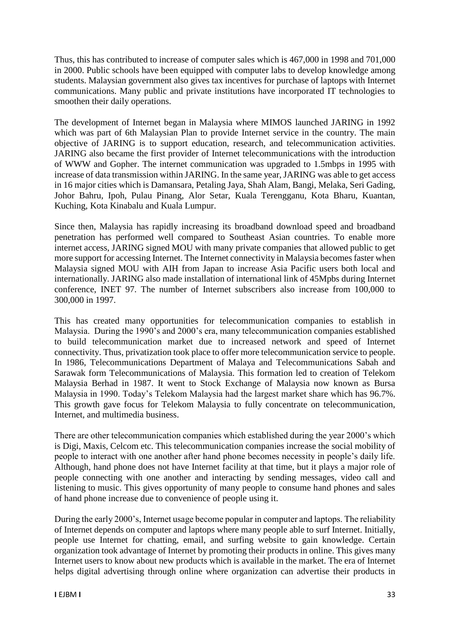Thus, this has contributed to increase of computer sales which is 467,000 in 1998 and 701,000 in 2000. Public schools have been equipped with computer labs to develop knowledge among students. Malaysian government also gives tax incentives for purchase of laptops with Internet communications. Many public and private institutions have incorporated IT technologies to smoothen their daily operations.

The development of Internet began in Malaysia where MIMOS launched JARING in 1992 which was part of 6th Malaysian Plan to provide Internet service in the country. The main objective of JARING is to support education, research, and telecommunication activities. JARING also became the first provider of Internet telecommunications with the introduction of WWW and Gopher. The internet communication was upgraded to 1.5mbps in 1995 with increase of data transmission within JARING. In the same year, JARING was able to get access in 16 major cities which is Damansara, Petaling Jaya, Shah Alam, Bangi, Melaka, Seri Gading, Johor Bahru, Ipoh, Pulau Pinang, Alor Setar, Kuala Terengganu, Kota Bharu, Kuantan, Kuching, Kota Kinabalu and Kuala Lumpur.

Since then, Malaysia has rapidly increasing its broadband download speed and broadband penetration has performed well compared to Southeast Asian countries. To enable more internet access, JARING signed MOU with many private companies that allowed public to get more support for accessing Internet. The Internet connectivity in Malaysia becomes faster when Malaysia signed MOU with AIH from Japan to increase Asia Pacific users both local and internationally. JARING also made installation of international link of 45Mpbs during Internet conference, INET 97. The number of Internet subscribers also increase from 100,000 to 300,000 in 1997.

This has created many opportunities for telecommunication companies to establish in Malaysia. During the 1990's and 2000's era, many telecommunication companies established to build telecommunication market due to increased network and speed of Internet connectivity. Thus, privatization took place to offer more telecommunication service to people. In 1986, Telecommunications Department of Malaya and Telecommunications Sabah and Sarawak form Telecommunications of Malaysia. This formation led to creation of Telekom Malaysia Berhad in 1987. It went to Stock Exchange of Malaysia now known as Bursa Malaysia in 1990. Today's Telekom Malaysia had the largest market share which has 96.7%. This growth gave focus for Telekom Malaysia to fully concentrate on telecommunication, Internet, and multimedia business.

There are other telecommunication companies which established during the year 2000's which is Digi, Maxis, Celcom etc. This telecommunication companies increase the social mobility of people to interact with one another after hand phone becomes necessity in people's daily life. Although, hand phone does not have Internet facility at that time, but it plays a major role of people connecting with one another and interacting by sending messages, video call and listening to music. This gives opportunity of many people to consume hand phones and sales of hand phone increase due to convenience of people using it.

During the early 2000's, Internet usage become popular in computer and laptops. The reliability of Internet depends on computer and laptops where many people able to surf Internet. Initially, people use Internet for chatting, email, and surfing website to gain knowledge. Certain organization took advantage of Internet by promoting their products in online. This gives many Internet users to know about new products which is available in the market. The era of Internet helps digital advertising through online where organization can advertise their products in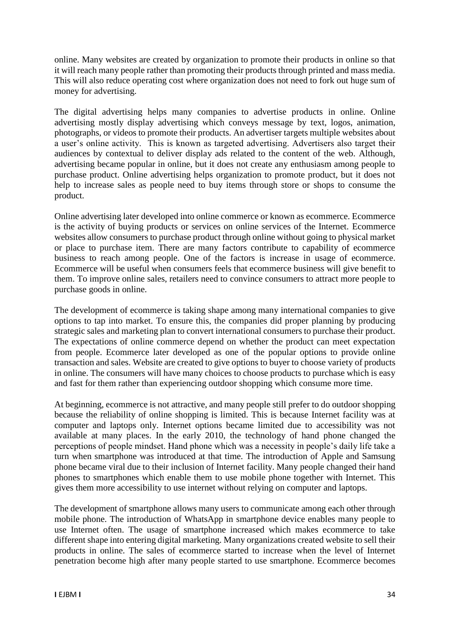online. Many websites are created by organization to promote their products in online so that it will reach many people rather than promoting their products through printed and mass media. This will also reduce operating cost where organization does not need to fork out huge sum of money for advertising.

The digital advertising helps many companies to advertise products in online. Online advertising mostly display advertising which conveys message by text, logos, animation, photographs, or videos to promote their products. An advertiser targets multiple websites about a user's online activity. This is known as targeted advertising. Advertisers also target their audiences by contextual to deliver display ads related to the content of the web. Although, advertising became popular in online, but it does not create any enthusiasm among people to purchase product. Online advertising helps organization to promote product, but it does not help to increase sales as people need to buy items through store or shops to consume the product.

Online advertising later developed into online commerce or known as ecommerce. Ecommerce is the activity of buying products or services on online services of the Internet. Ecommerce websites allow consumers to purchase product through online without going to physical market or place to purchase item. There are many factors contribute to capability of ecommerce business to reach among people. One of the factors is increase in usage of ecommerce. Ecommerce will be useful when consumers feels that ecommerce business will give benefit to them. To improve online sales, retailers need to convince consumers to attract more people to purchase goods in online.

The development of ecommerce is taking shape among many international companies to give options to tap into market. To ensure this, the companies did proper planning by producing strategic sales and marketing plan to convert international consumers to purchase their product. The expectations of online commerce depend on whether the product can meet expectation from people. Ecommerce later developed as one of the popular options to provide online transaction and sales. Website are created to give options to buyer to choose variety of products in online. The consumers will have many choices to choose products to purchase which is easy and fast for them rather than experiencing outdoor shopping which consume more time.

At beginning, ecommerce is not attractive, and many people still prefer to do outdoor shopping because the reliability of online shopping is limited. This is because Internet facility was at computer and laptops only. Internet options became limited due to accessibility was not available at many places. In the early 2010, the technology of hand phone changed the perceptions of people mindset. Hand phone which was a necessity in people's daily life take a turn when smartphone was introduced at that time. The introduction of Apple and Samsung phone became viral due to their inclusion of Internet facility. Many people changed their hand phones to smartphones which enable them to use mobile phone together with Internet. This gives them more accessibility to use internet without relying on computer and laptops.

The development of smartphone allows many users to communicate among each other through mobile phone. The introduction of WhatsApp in smartphone device enables many people to use Internet often. The usage of smartphone increased which makes ecommerce to take different shape into entering digital marketing. Many organizations created website to sell their products in online. The sales of ecommerce started to increase when the level of Internet penetration become high after many people started to use smartphone. Ecommerce becomes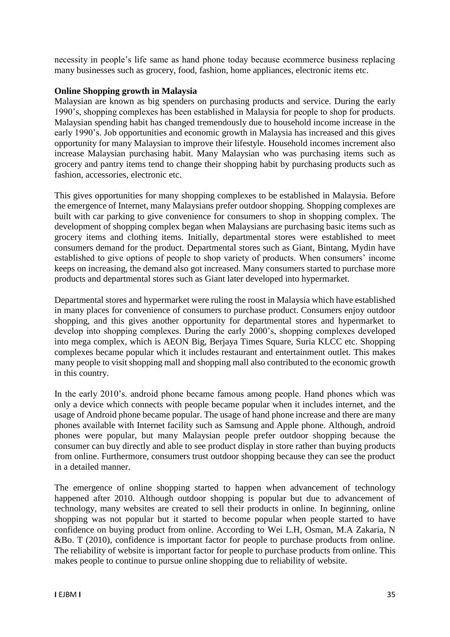necessity in people's life same as hand phone today because ecommerce business replacing many businesses such as grocery, food, fashion, home appliances, electronic items etc.

# **Online Shopping growth in Malaysia**

Malaysian are known as big spenders on purchasing products and service. During the early 1990's, shopping complexes has been established in Malaysia for people to shop for products. Malaysian spending habit has changed tremendously due to household income increase in the early 1990's. Job opportunities and economic growth in Malaysia has increased and this gives opportunity for many Malaysian to improve their lifestyle. Household incomes increment also increase Malaysian purchasing habit. Many Malaysian who was purchasing items such as grocery and pantry items tend to change their shopping habit by purchasing products such as fashion, accessories, electronic etc.

This gives opportunities for many shopping complexes to be established in Malaysia. Before the emergence of Internet, many Malaysians prefer outdoor shopping. Shopping complexes are built with car parking to give convenience for consumers to shop in shopping complex. The development of shopping complex began when Malaysians are purchasing basic items such as grocery items and clothing items. Initially, departmental stores were established to meet consumers demand for the product. Departmental stores such as Giant, Bintang, Mydin have established to give options of people to shop variety of products. When consumers' income keeps on increasing, the demand also got increased. Many consumers started to purchase more products and departmental stores such as Giant later developed into hypermarket.

Departmental stores and hypermarket were ruling the roost in Malaysia which have established in many places for convenience of consumers to purchase product. Consumers enjoy outdoor shopping, and this gives another opportunity for departmental stores and hypermarket to develop into shopping complexes. During the early 2000's, shopping complexes developed into mega complex, which is AEON Big, Berjaya Times Square, Suria KLCC etc. Shopping complexes became popular which it includes restaurant and entertainment outlet. This makes many people to visit shopping mall and shopping mall also contributed to the economic growth in this country.

In the early 2010's. android phone became famous among people. Hand phones which was only a device which connects with people became popular when it includes internet, and the usage of Android phone became popular. The usage of hand phone increase and there are many phones available with Internet facility such as Samsung and Apple phone. Although, android phones were popular, but many Malaysian people prefer outdoor shopping because the consumer can buy directly and able to see product display in store rather than buying products from online. Furthermore, consumers trust outdoor shopping because they can see the product in a detailed manner.

The emergence of online shopping started to happen when advancement of technology happened after 2010. Although outdoor shopping is popular but due to advancement of technology, many websites are created to sell their products in online. In beginning, online shopping was not popular but it started to become popular when people started to have confidence on buying product from online. According to Wei L.H, Osman, M.A Zakaria, N &Bo. T (2010), confidence is important factor for people to purchase products from online. The reliability of website is important factor for people to purchase products from online. This makes people to continue to pursue online shopping due to reliability of website.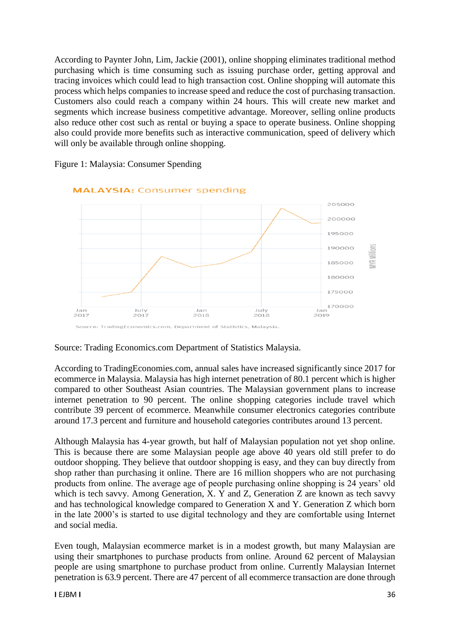According to Paynter John, Lim, Jackie (2001), online shopping eliminates traditional method purchasing which is time consuming such as issuing purchase order, getting approval and tracing invoices which could lead to high transaction cost. Online shopping will automate this process which helps companies to increase speed and reduce the cost of purchasing transaction. Customers also could reach a company within 24 hours. This will create new market and segments which increase business competitive advantage. Moreover, selling online products also reduce other cost such as rental or buying a space to operate business. Online shopping also could provide more benefits such as interactive communication, speed of delivery which will only be available through online shopping.



Figure 1: Malaysia: Consumer Spending

## Source: Trading Economics.com Department of Statistics Malaysia.

According to TradingEconomies.com, annual sales have increased significantly since 2017 for ecommerce in Malaysia. Malaysia has high internet penetration of 80.1 percent which is higher compared to other Southeast Asian countries. The Malaysian government plans to increase internet penetration to 90 percent. The online shopping categories include travel which contribute 39 percent of ecommerce. Meanwhile consumer electronics categories contribute around 17.3 percent and furniture and household categories contributes around 13 percent.

Although Malaysia has 4-year growth, but half of Malaysian population not yet shop online. This is because there are some Malaysian people age above 40 years old still prefer to do outdoor shopping. They believe that outdoor shopping is easy, and they can buy directly from shop rather than purchasing it online. There are 16 million shoppers who are not purchasing products from online. The average age of people purchasing online shopping is 24 years' old which is tech savvy. Among Generation, X. Y and Z, Generation Z are known as tech savvy and has technological knowledge compared to Generation X and Y. Generation Z which born in the late 2000's is started to use digital technology and they are comfortable using Internet and social media.

Even tough, Malaysian ecommerce market is in a modest growth, but many Malaysian are using their smartphones to purchase products from online. Around 62 percent of Malaysian people are using smartphone to purchase product from online. Currently Malaysian Internet penetration is 63.9 percent. There are 47 percent of all ecommerce transaction are done through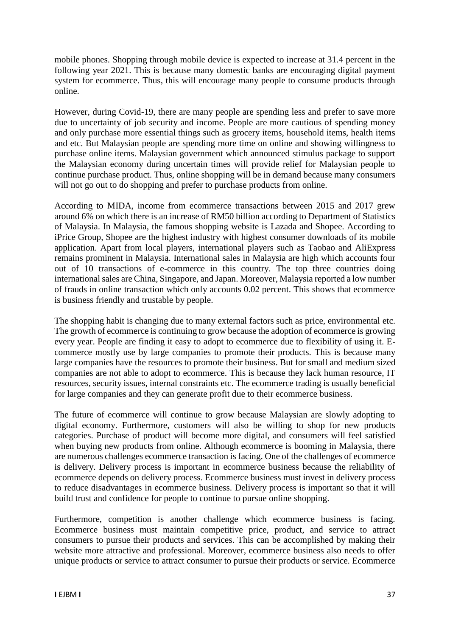mobile phones. Shopping through mobile device is expected to increase at 31.4 percent in the following year 2021. This is because many domestic banks are encouraging digital payment system for ecommerce. Thus, this will encourage many people to consume products through online.

However, during Covid-19, there are many people are spending less and prefer to save more due to uncertainty of job security and income. People are more cautious of spending money and only purchase more essential things such as grocery items, household items, health items and etc. But Malaysian people are spending more time on online and showing willingness to purchase online items. Malaysian government which announced stimulus package to support the Malaysian economy during uncertain times will provide relief for Malaysian people to continue purchase product. Thus, online shopping will be in demand because many consumers will not go out to do shopping and prefer to purchase products from online.

According to MIDA, income from ecommerce transactions between 2015 and 2017 grew around 6% on which there is an increase of RM50 billion according to Department of Statistics of Malaysia. In Malaysia, the famous shopping website is Lazada and Shopee. According to iPrice Group, Shopee are the highest industry with highest consumer downloads of its mobile application. Apart from local players, international players such as Taobao and AliExpress remains prominent in Malaysia. International sales in Malaysia are high which accounts four out of 10 transactions of e-commerce in this country. The top three countries doing international sales are China, Singapore, and Japan. Moreover, Malaysia reported a low number of frauds in online transaction which only accounts 0.02 percent. This shows that ecommerce is business friendly and trustable by people.

The shopping habit is changing due to many external factors such as price, environmental etc. The growth of ecommerce is continuing to grow because the adoption of ecommerce is growing every year. People are finding it easy to adopt to ecommerce due to flexibility of using it. Ecommerce mostly use by large companies to promote their products. This is because many large companies have the resources to promote their business. But for small and medium sized companies are not able to adopt to ecommerce. This is because they lack human resource, IT resources, security issues, internal constraints etc. The ecommerce trading is usually beneficial for large companies and they can generate profit due to their ecommerce business.

The future of ecommerce will continue to grow because Malaysian are slowly adopting to digital economy. Furthermore, customers will also be willing to shop for new products categories. Purchase of product will become more digital, and consumers will feel satisfied when buying new products from online. Although ecommerce is booming in Malaysia, there are numerous challenges ecommerce transaction is facing. One of the challenges of ecommerce is delivery. Delivery process is important in ecommerce business because the reliability of ecommerce depends on delivery process. Ecommerce business must invest in delivery process to reduce disadvantages in ecommerce business. Delivery process is important so that it will build trust and confidence for people to continue to pursue online shopping.

Furthermore, competition is another challenge which ecommerce business is facing. Ecommerce business must maintain competitive price, product, and service to attract consumers to pursue their products and services. This can be accomplished by making their website more attractive and professional. Moreover, ecommerce business also needs to offer unique products or service to attract consumer to pursue their products or service. Ecommerce